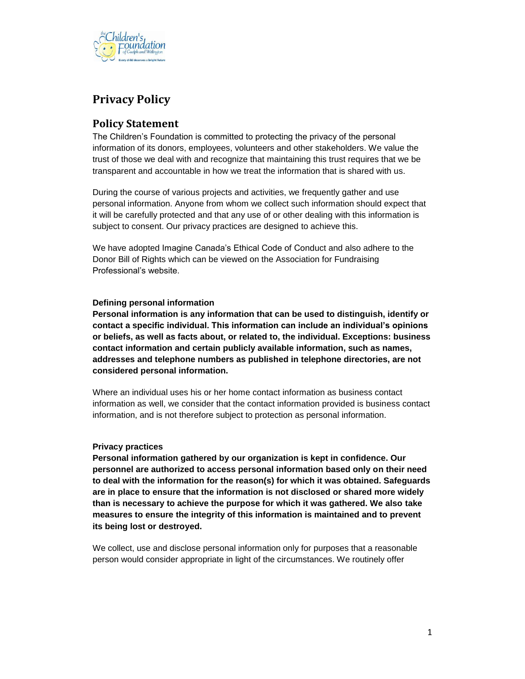

# **Privacy Policy**

## **Policy Statement**

The Children's Foundation is committed to protecting the privacy of the personal information of its donors, employees, volunteers and other stakeholders. We value the trust of those we deal with and recognize that maintaining this trust requires that we be transparent and accountable in how we treat the information that is shared with us.

During the course of various projects and activities, we frequently gather and use personal information. Anyone from whom we collect such information should expect that it will be carefully protected and that any use of or other dealing with this information is subject to consent. Our privacy practices are designed to achieve this.

We have adopted Imagine Canada's Ethical Code of Conduct and also adhere to the Donor Bill of Rights which can be viewed on the Association for Fundraising Professional's website.

### **Defining personal information**

**Personal information is any information that can be used to distinguish, identify or contact a specific individual. This information can include an individual's opinions or beliefs, as well as facts about, or related to, the individual. Exceptions: business contact information and certain publicly available information, such as names, addresses and telephone numbers as published in telephone directories, are not considered personal information.**

Where an individual uses his or her home contact information as business contact information as well, we consider that the contact information provided is business contact information, and is not therefore subject to protection as personal information.

### **Privacy practices**

**Personal information gathered by our organization is kept in confidence. Our personnel are authorized to access personal information based only on their need to deal with the information for the reason(s) for which it was obtained. Safeguards are in place to ensure that the information is not disclosed or shared more widely than is necessary to achieve the purpose for which it was gathered. We also take measures to ensure the integrity of this information is maintained and to prevent its being lost or destroyed.**

We collect, use and disclose personal information only for purposes that a reasonable person would consider appropriate in light of the circumstances. We routinely offer